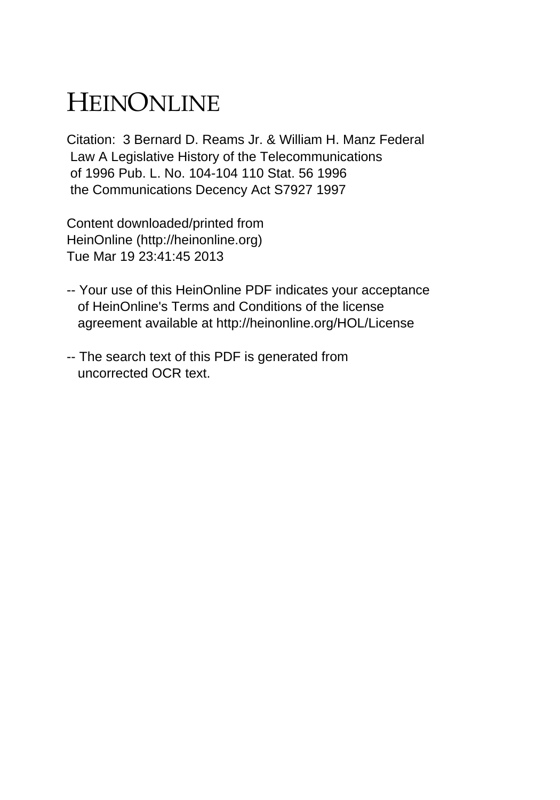## HEINONLINE

Citation: 3 Bernard D. Reams Jr. & William H. Manz Federal Law A Legislative History of the Telecommunications of 1996 Pub. L. No. 104-104 110 Stat. 56 1996 the Communications Decency Act S7927 1997

Content downloaded/printed from HeinOnline (http://heinonline.org) Tue Mar 19 23:41:45 2013

- -- Your use of this HeinOnline PDF indicates your acceptance of HeinOnline's Terms and Conditions of the license agreement available at http://heinonline.org/HOL/License
- -- The search text of this PDF is generated from uncorrected OCR text.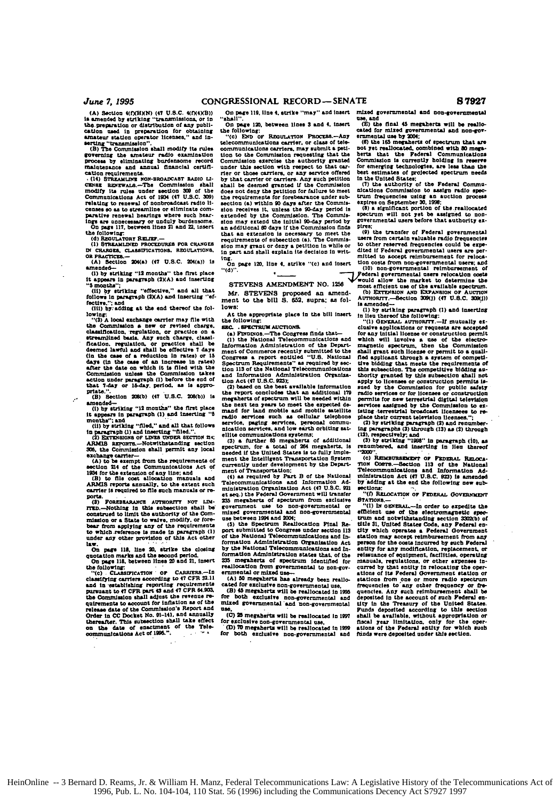**(A)** Section 4(fXlHXN) **(41 U.S.C.** 4(fX4(BI) is amended by striking "transmissions, or in<br>the preparation or distribution of any publi-<br>cation used in preparation for obtaining<br>armateur station operator licenses," and in-<br>acting "transmission".

(B) The Commission shall modify its rules<br>growning the armsteur radio examination<br>process by eliminating burdensome record<br>manitations.com<br>diatomatic sind annual financial certification requirements.<br>(14) STREAMLINT NON-B censes so as to streamline or eliminate com-<br>parative renewal hearings where such hear-<br>ings are unnecessary or unduly burdensome.<br>On page 117, between lines 21 and 22, insert

the **following.**

**(d) REGULATORY RELIEF.—**<br>**(d) REGULATORY RELIEF.—**<br>(1) STREAMLINED PROCEDURES FOR CHANGES (1) STREAMLINED PROCEDURES FOR CHANGES<br>IN CHARGES, CLASSIFICATIONS, REOULATIONS,<br>OR PRACTICES.-

**(A)** Section 204(a) **(47 U.S.C. 204(a)) Is** amended--<br>
(i) by striking "12 months" the first place<br>it appears in paragraph (2)(A) and inserting<br>"5 months";

**(11) by striking** "effective." **and all** that **follows in** paragraph (2)A) **and** Inserting **"of**fective."; and<br>**(iii) by:** adding at the end thereof the fol-

lowing, **"(3) A** local exchange carler may file with the Commission **a** new or revised charge.

classification, regulation, or practice on a streaminad basis. Any such charge, classification or practice shall be<br>flexible dewind and shall be offective 7 days of the<br>demond law in the case of a reduction in rates) or 13

**(S)** Section **20(b) (41 U.S.C. 28(b)) is**

amended- **(I) by striking "11 montha" the first place it appearl** in paragraph **(I) and** inserting **"'** months": **and** " **(i1) by** striking **"filed," and all** that follows

in paragraph (1) and inserting "filed.",<br>(2) EXTREGIONS OF LINES UNDER SECTION 21;<br>ARMIS REPORTS.... Notwithstanding section<br>505, the Commission shall permit any local<br>exchange carrier....

(A) to be exempt from the requirements of<br>each on 214 of the Communications Act of<br>1934 for the extension of any line; and<br> $(B)$  to file cost allocation manuals and<br>ARMIS reports annually, to the extent such<br>exerter is req

ports. POREBRARANCE AUTHORITY NOT LIM-<br>(3) DESCRIPTION In this subsection shall be<br>construed to limit the authority of the Com-<br>mission or a State to waive, modify, or fore-<br>mission or a State to waive, modify, or fore-<br>be

law.<br>
The page 118, line 20, strike the closing<br>
Con page 118, line 20, strike the closing<br>
Con page 118, between lines 20 and 21, insert<br>
the following:<br>
"(c). CLASSTFIGENT OF CARRERS.—In<br>
cleasifying carriers according t quirements to account for inflation as of the<br>release date of the Commission's Report and<br>Order in CC Docket No. 91-141, and annually<br>thereafter. This subsection shall take effect<br>on the data of enactment of the Tele-<br>comm

USE TAIL DEVISIONS CARRIER CONDUCTS CARRIER CONDUCTS.<br>
The following:<br>
the following:<br>
the following:<br>
the communications carriers, or class of the issue of spectrum that are<br>
the communications carriers, may submit a peti communications carriers, may submit a peti-<br> **Example 2** bet-<br> **Lion** to the Commission requesting that the rier or those carriers, or any service offered best estimates of projected spectrum needs<br>by that carrier or carriers. Any such petition in the United States;<br>shall be deemed granted if the Commission (7) the authority of **the** requirements for forebearanee under sub- tram frequencies using **an** auction process section (a) within **90 days** after the **Commis-** expires on September **30. 1 :** Stn recelve, *it,* unless the **94-day** period **In (a) a** significant portion **of** the reallocated sion may extend the initial 90-day period by **governmental users before that authority example of the Commission finds pines;** 

Congress a report entitled "U.S. National fied applicant through a system of competi-<br>Spectrum Requirements" as required by sec- tire bidding that mests the requirements of<br>tion 113 of the National Telecommunications this

megaherts of spectrum will be needed within permits for new terrestrial digital television<br>the next ten years to meet the expected de- services assigned by the Commission to est<br>mand for land mobile and mobile aatellite (s readed of the pears to meet the expected de-<br>mand for land mobile and mobile at<br>elitic radio services such as of lular telephone service, paying services, personal commu-<br>nication services, and low earth orbiting satilitie service, paring services, personal commu-<br>services, and low earth orbiting sat-<br>ing paragraphs (3) through the sixth orbiting sat-<br>ing paragraphs (3) through (13) as (3) through<br>ellite communications systems;<br>(3) a further

Spectrum. for a total of **264** megahertz, **Is** renumbered, **and** inserting In **lien** thereof needed **If** the United States **is** to **fully Impie- "2".**

Telecommunications **and** Information **Ad- by** adding at the end **the** following **new sub-** ministration Organization Act **(47 U.S.C. 921** sectlons: et seq.) the Federal Government will transfer **"(f) RZLOCATION OF FEDERAL GOVERNMENT**<br>235 megaherts of spectrum from exclusive STATIONS.-

**o page I11. line 4.** strike "may" **and** insert mined governmental and on-governmental

ase, and<br>On page 120, between lines 3 and 4, insert constrained in the feallo-<br>the following:<br>the following: cated for mixed governmental and non-gov-<br>the boot of REGULATION PROCESS.--Any strumental use by 2004;

tion to the Commission requesting that the herts that the Federal Communications<br>Commission exercise the authority granted Commission is currently holding in reserve<br>under this section with respect to that car- for emergin

does **extreme failure of the petition** for the petition for the petition of the rederal Communications Commission to assign radio spec-

extended commission to assign rate of process<br>trum frequencies using an auction process<br>expires on September 30, 1998;<br>(8) a significant portion of the reallocated<br>spectrum will not yet be assigned to non-<br>governmental use

that an extension is necessary to meet the **(9)** the transfer of Federal governmental requirements of subsection (a). The Commis-users from certain valuable radio frequencies **S01n** may grant or deny a petition in while or to other reserved frequencies could be exe-in part **and** shell **explain Its** decislo in writ- dited **If** Federal governmental users *are* poring. **ing. https://william.** mitted to accept reimbursement for reloca **On page 120. line 4. strike "(c) and insert tion costs from non-governmental users; and**<br>  $(10)$  non-governmental reimburgeners of<br>  $(10)$  non-governmental researce relocation costs<br>  $(20)$  non-governmental news relocatio **"(d)". (10)** non-governmental reimbursement **of**

A)".<br>
Foldral governmental users relocation code<br>
STEVENS AMENDMENT NO. 1256 mould allow the market to determine the<br>
mould allow the market to determine the<br>
Mr. STEVENS proposed an amend. (b) EXTENSION AND EXPANSION OF A Mr. STEVENS proposed an amend. (b) **EXTENSION AND EXPANSION OF AUCTION**<br>ment to the bill S. 652, supra; as fol- AUTHORITT,-Bection 309()) (47 U.S.C. 309()))

ment to the bill S. 652, supra; as fol-<br>
lows:<br>
lows:<br>
lows:<br>
lows:<br>
lows:<br>
lows:<br>
lows:<br>
AUTHORITT.—Section 309(j) (47 U.S.C. 309(j))<br>
lows:<br>
At the appropriate place in the bill insert in lieu thereof the following:<br>
th (2) based **on** the best available information **sued by** the Commission for public "sty the report concludes that **an** additional **179 radio** services or **for** licenses or Construction

ment the Intelligent Transportation System (c) REMBURSEMENT OF FEDERAL RELOCA-<br>currently under development by the Depart- TION COSTS.-Section 113 of the National<br>ment of Transportation: Telecommunications and Information A

government use to non-governmental or "(1) lie oexes......... In order to expedite the mined governmental and non-governmental efficient use of the slectromagnetic species between 1994 and 2004;<br>
(5) the Spectrum Reallocat **use** between **134 and 2104; trum and** notwithstanding section **3302(b)** of **(5)** the Spectrum Reallocation **Final** Re- title **31,** United States Code, **any** Federal **en**port submitted to Congress under submitted to Congress a Pederal *Government*<br> **113 city which operates a Pederal Government from any<br>
person for the costs incurred by such Pederal** formation Administration Organization Act person for the costs incurred by such Pederal<br>by the National Telecommunications and In-entity for any modification, replacement, or<br>formation Administration states that, of the re reallocation **from** governmental **to** non-gov- curred **by** that entity **In** relocating the oper- eromental or mixed use- ations of It. Federal Oovernment station or cated for exclusive managements has already been reallo-<br>cated for exclusive non-governmental inte. The stations from one or more radio spectrum. On the exclusive nun-governmental use, requencies to any other trequency or tre-<br>(B) 45 megaherta will be reallocated in 1935 quencies. Any such reimbursements shall be mixed governmental and non-governmental and deposited in the Eccount of the United States.<br>Entred States. **In the United States. In the United States.** The United States. C) 25 megaherts will be reallocated in 1997 shall be available, without appropriation of<br>for exclusive non-governmental use, fincal year limitation, only for the oper-<br>(D) 70 megaherts will be reallocated in 1999 stions of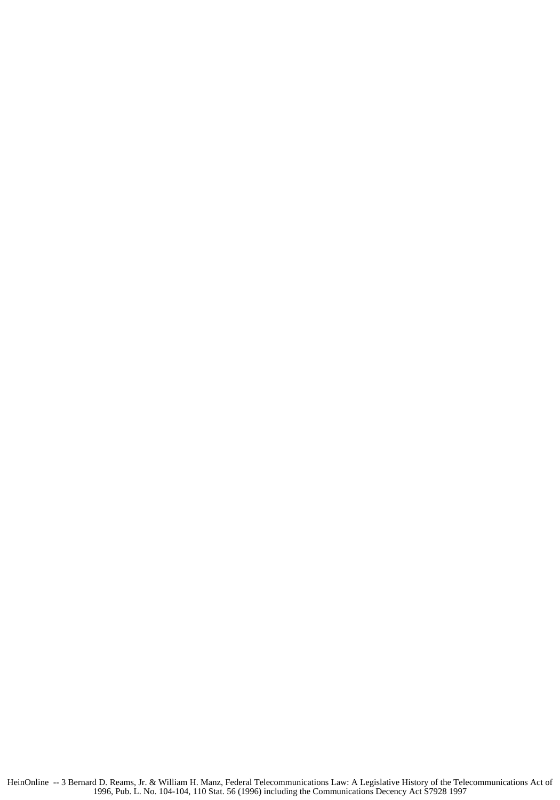HeinOnline -- 3 Bernard D. Reams, Jr. & William H. Manz, Federal Telecommunications Law: A Legislative History of the Telecommunications Act of 1996, Pub. L. No. 104-104, 110 Stat. 56 (1996) including the Communications Decency Act S7928 1997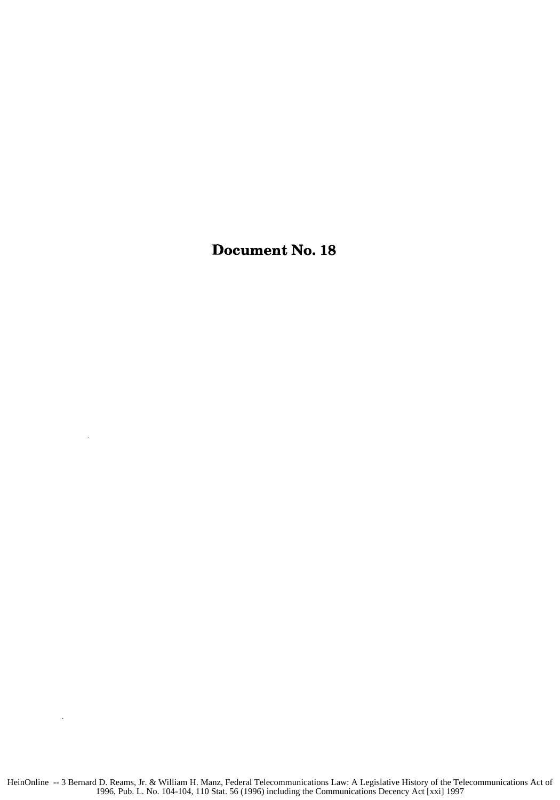## Document No. **<sup>18</sup>**

 $\sim 10^{-11}$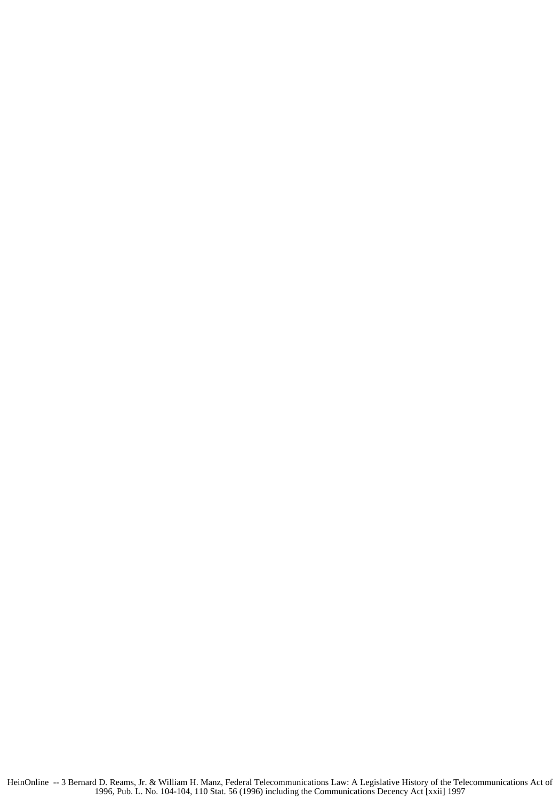HeinOnline -- 3 Bernard D. Reams, Jr. & William H. Manz, Federal Telecommunications Law: A Legislative History of the Telecommunications Act of 1996, Pub. L. No. 104-104, 110 Stat. 56 (1996) including the Communications Decency Act [xxii] 1997